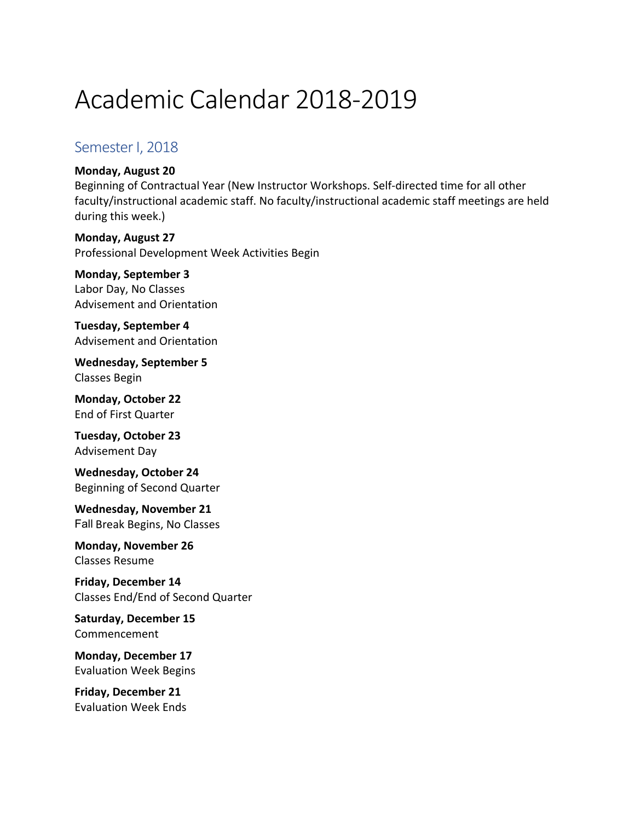# Academic Calendar 2018-2019

## Semester I, 2018

#### **Monday, August 20**

Beginning of Contractual Year (New Instructor Workshops. Self-directed time for all other faculty/instructional academic staff. No faculty/instructional academic staff meetings are held during this week.)

**Monday, August 27** Professional Development Week Activities Begin

**Monday, September 3** Labor Day, No Classes Advisement and Orientation

**Tuesday, September 4** Advisement and Orientation

Wednesday, September 5 Classes Begin 

**Monday, October 22** End of First Quarter 

**Tuesday, October 23** Advisement Day

**Wednesday, October 24** Beginning of Second Quarter

**Wednesday, November 21** Fall Break Begins, No Classes

**Monday, November 26** Classes Resume 

**Friday, December 14** Classes End/End of Second Quarter 

Saturday, December 15 Commencement

**Monday, December 17** Evaluation Week Begins 

**Friday, December 21** Evaluation Week Ends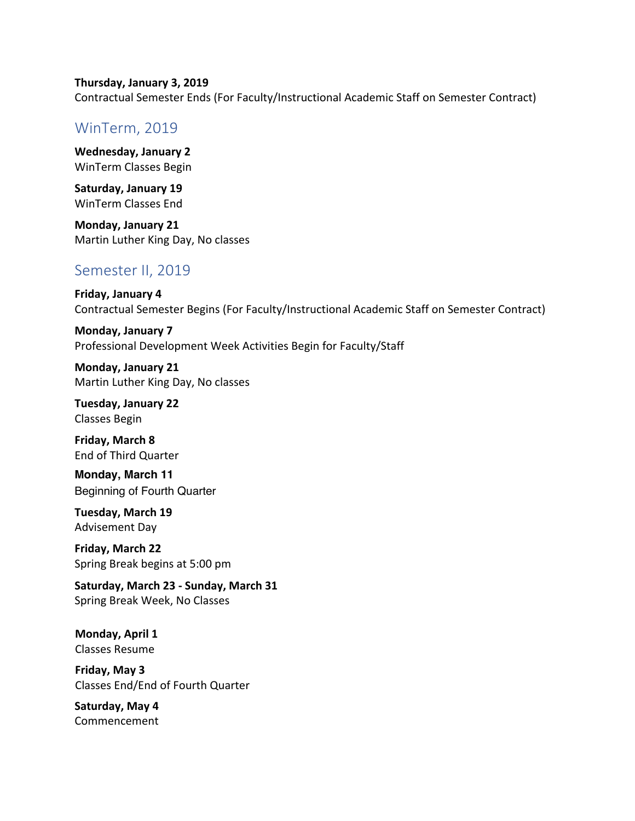**Thursday, January 3, 2019** Contractual Semester Ends (For Faculty/Instructional Academic Staff on Semester Contract)

### WinTerm, 2019

**Wednesday, January 2** WinTerm Classes Begin

**Saturday, January 19** WinTerm Classes End

**Monday, January 21** Martin Luther King Day, No classes

### Semester II, 2019

**Friday, January 4** Contractual Semester Begins (For Faculty/Instructional Academic Staff on Semester Contract)

**Monday, January 7** Professional Development Week Activities Begin for Faculty/Staff

**Monday, January 21** Martin Luther King Day, No classes

**Tuesday, January 22** Classes Begin 

**Friday, March 8** End of Third Quarter

**Monday, March 11** Beginning of Fourth Quarter

**Tuesday, March 19** Advisement Day

**Friday, March 22** Spring Break begins at 5:00 pm 

Saturday, March 23 - Sunday, March 31 Spring Break Week, No Classes

**Monday, April 1** Classes Resume 

**Friday, May 3** Classes End/End of Fourth Quarter 

Saturday, May 4 Commencement